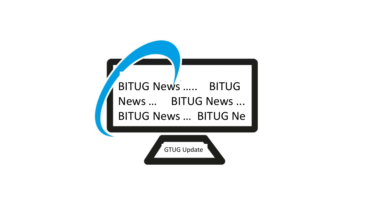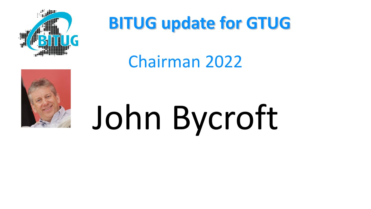

### **BITUG update for GTUG**

#### Chairman 2022



# John Bycroft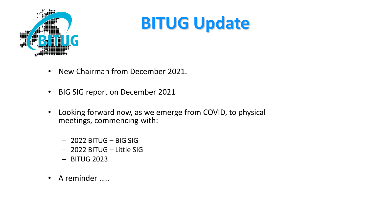

### **BITUG Update**

- New Chairman from December 2021.
- BIG SIG report on December 2021
- Looking forward now, as we emerge from COVID, to physical meetings, commencing with:
	- 2022 BITUG BIG SIG
	- 2022 BITUG Little SIG
	- BITUG 2023.
- A reminder …..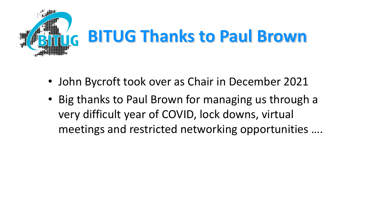

- John Bycroft took over as Chair in December 2021
- Big thanks to Paul Brown for managing us through a very difficult year of COVID, lock downs, virtual meetings and restricted networking opportunities ….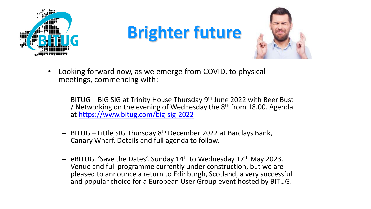

## **Brighter future**



- Looking forward now, as we emerge from COVID, to physical meetings, commencing with:
	- BITUG BIG SIG at Trinity House Thursday 9th June 2022 with Beer Bust / Networking on the evening of Wednesday the  $8<sup>th</sup>$  from 18.00. Agenda at <https://www.bitug.com/big-sig-2022>
	- BITUG Little SIG Thursday 8th December 2022 at Barclays Bank, Canary Wharf. Details and full agenda to follow.
	- $-$  eBITUG. 'Save the Dates'. Sunday 14<sup>th</sup> to Wednesday 17<sup>th</sup> May 2023. Venue and full programme currently under construction, but we are pleased to announce a return to Edinburgh, Scotland, a very successful and popular choice for a European User Group event hosted by BITUG.